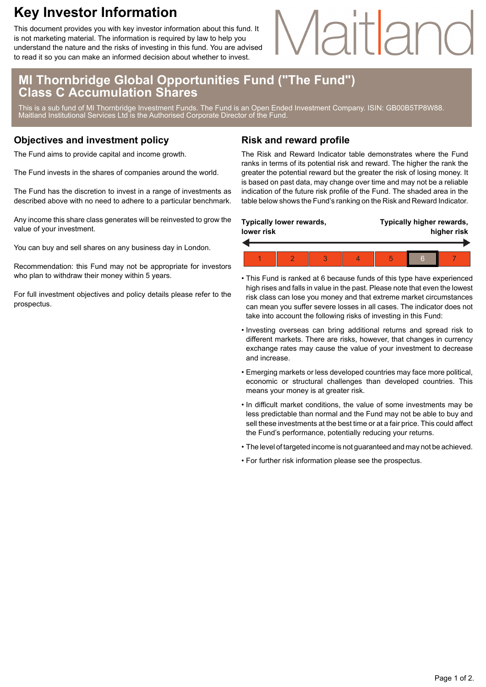### **Key Investor Information**

This document provides you with key investor information about this fund. It is not marketing material. The information is required by law to help you understand the nature and the risks of investing in this fund. You are advised to read it so you can make an informed decision about whether to invest.

# Maitlan

#### **MI Thornbridge Global Opportunities Fund ("The Fund") Class C Accumulation Shares**

This is a sub fund of MI Thornbridge Investment Funds. The Fund is an Open Ended Investment Company. ISIN: GB00B5TP8W88. Maitland Institutional Services Ltd is the Authorised Corporate Director of the Fund.

#### **Objectives and investment policy**

The Fund aims to provide capital and income growth.

The Fund invests in the shares of companies around the world.

The Fund has the discretion to invest in a range of investments as described above with no need to adhere to a particular benchmark.

Any income this share class generates will be reinvested to grow the value of your investment.

You can buy and sell shares on any business day in London.

Recommendation: this Fund may not be appropriate for investors who plan to withdraw their money within 5 years.

For full investment objectives and policy details please refer to the prospectus.

#### **Risk and reward profile**

The Risk and Reward Indicator table demonstrates where the Fund ranks in terms of its potential risk and reward. The higher the rank the greater the potential reward but the greater the risk of losing money. It is based on past data, may change over time and may not be a reliable indication of the future risk profile of the Fund. The shaded area in the table below shows the Fund's ranking on the Risk and Reward Indicator.

| Typically lower rewards,<br>lower risk |  |  |  | Typically higher rewards,<br>higher risk |   |  |  |
|----------------------------------------|--|--|--|------------------------------------------|---|--|--|
|                                        |  |  |  |                                          |   |  |  |
|                                        |  |  |  |                                          | հ |  |  |

- This Fund is ranked at 6 because funds of this type have experienced high rises and falls in value in the past. Please note that even the lowest risk class can lose you money and that extreme market circumstances can mean you suffer severe losses in all cases. The indicator does not take into account the following risks of investing in this Fund:
- Investing overseas can bring additional returns and spread risk to different markets. There are risks, however, that changes in currency exchange rates may cause the value of your investment to decrease and increase.
- Emerging markets or less developed countries may face more political, economic or structural challenges than developed countries. This means your money is at greater risk.
- In difficult market conditions, the value of some investments may be less predictable than normal and the Fund may not be able to buy and sell these investments at the best time or at a fair price. This could affect the Fund's performance, potentially reducing your returns.
- The level of targeted income is not guaranteed and may not be achieved.
- For further risk information please see the prospectus.